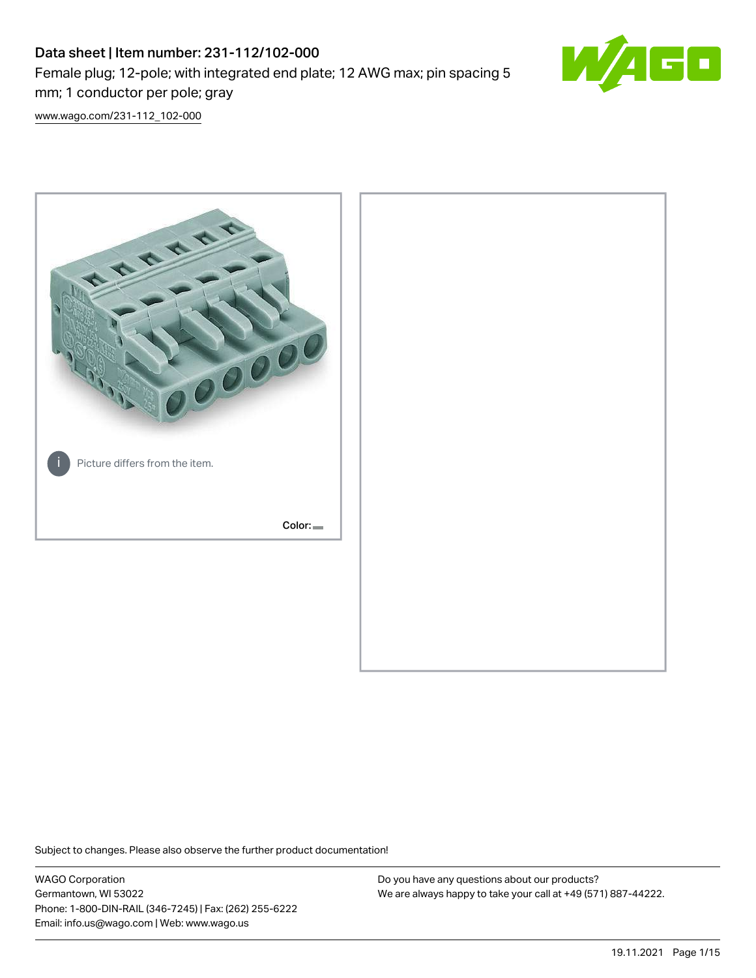# Data sheet | Item number: 231-112/102-000 Female plug; 12-pole; with integrated end plate; 12 AWG max; pin spacing 5 mm; 1 conductor per pole; gray



[www.wago.com/231-112\\_102-000](http://www.wago.com/231-112_102-000)



Subject to changes. Please also observe the further product documentation!

WAGO Corporation Germantown, WI 53022 Phone: 1-800-DIN-RAIL (346-7245) | Fax: (262) 255-6222 Email: info.us@wago.com | Web: www.wago.us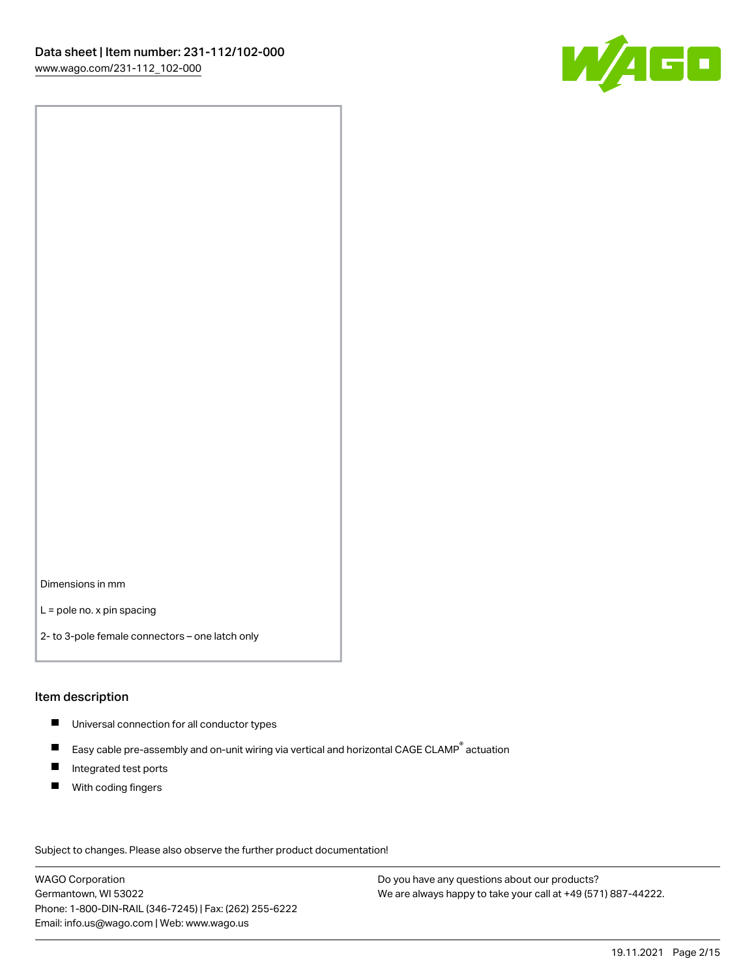

Dimensions in mm

L = pole no. x pin spacing

2- to 3-pole female connectors – one latch only

#### Item description

- **Universal connection for all conductor types**
- Easy cable pre-assembly and on-unit wiring via vertical and horizontal CAGE CLAMP<sup>®</sup> actuation  $\blacksquare$
- $\blacksquare$ Integrated test ports
- $\blacksquare$ With coding fingers

Subject to changes. Please also observe the further product documentation! Data

WAGO Corporation Germantown, WI 53022 Phone: 1-800-DIN-RAIL (346-7245) | Fax: (262) 255-6222 Email: info.us@wago.com | Web: www.wago.us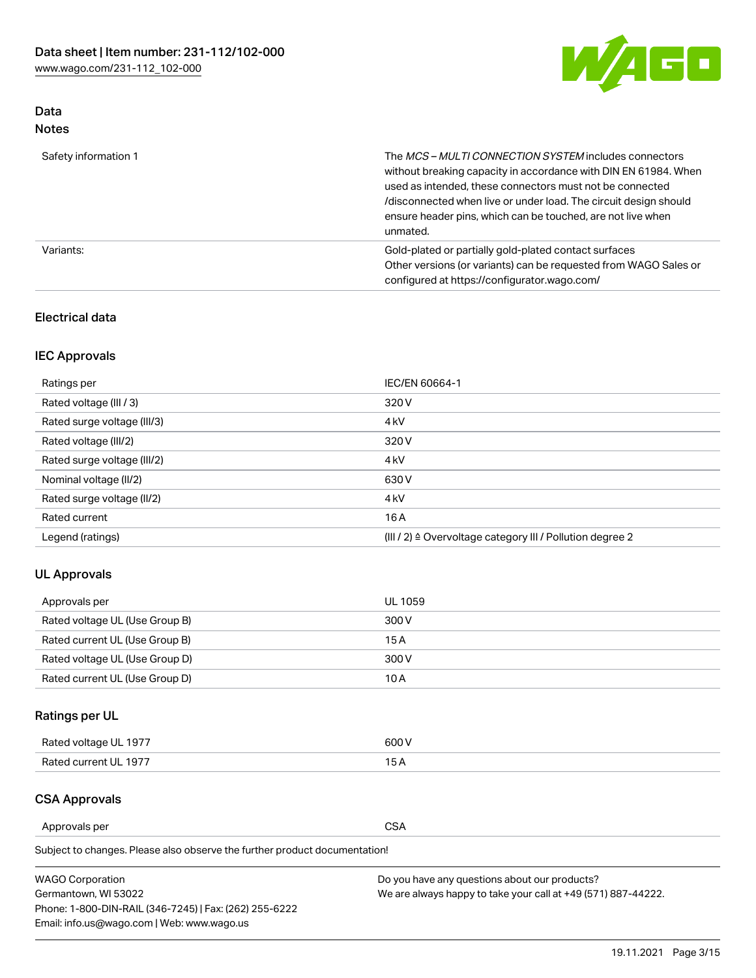

## Data Notes

| Safety information 1 | The MCS-MULTI CONNECTION SYSTEM includes connectors<br>without breaking capacity in accordance with DIN EN 61984. When<br>used as intended, these connectors must not be connected<br>/disconnected when live or under load. The circuit design should<br>ensure header pins, which can be touched, are not live when<br>unmated. |
|----------------------|-----------------------------------------------------------------------------------------------------------------------------------------------------------------------------------------------------------------------------------------------------------------------------------------------------------------------------------|
| Variants:            | Gold-plated or partially gold-plated contact surfaces<br>Other versions (or variants) can be requested from WAGO Sales or<br>configured at https://configurator.wago.com/                                                                                                                                                         |

### Electrical data

## IEC Approvals

| Ratings per                 | IEC/EN 60664-1                                                        |
|-----------------------------|-----------------------------------------------------------------------|
| Rated voltage (III / 3)     | 320 V                                                                 |
| Rated surge voltage (III/3) | 4 <sub>k</sub> V                                                      |
| Rated voltage (III/2)       | 320 V                                                                 |
| Rated surge voltage (III/2) | 4 <sub>k</sub> V                                                      |
| Nominal voltage (II/2)      | 630 V                                                                 |
| Rated surge voltage (II/2)  | 4 <sub>k</sub> V                                                      |
| Rated current               | 16 A                                                                  |
| Legend (ratings)            | $(III / 2)$ $\triangle$ Overvoltage category III / Pollution degree 2 |

### UL Approvals

| Approvals per                  | UL 1059 |
|--------------------------------|---------|
| Rated voltage UL (Use Group B) | 300 V   |
| Rated current UL (Use Group B) | 15 A    |
| Rated voltage UL (Use Group D) | 300 V   |
| Rated current UL (Use Group D) | 10 A    |

## Ratings per UL

| Rated voltage UL 1977 | 600 V         |
|-----------------------|---------------|
| Rated current UL 1977 | $\sim$ $\sim$ |

## CSA Approvals

Approvals per CSA

Subject to changes. Please also observe the further product documentation!

| <b>WAGO Corporation</b>                                | Do you have any questions about our products?                 |
|--------------------------------------------------------|---------------------------------------------------------------|
| Germantown, WI 53022                                   | We are always happy to take your call at +49 (571) 887-44222. |
| Phone: 1-800-DIN-RAIL (346-7245)   Fax: (262) 255-6222 |                                                               |
| Email: info.us@wago.com   Web: www.wago.us             |                                                               |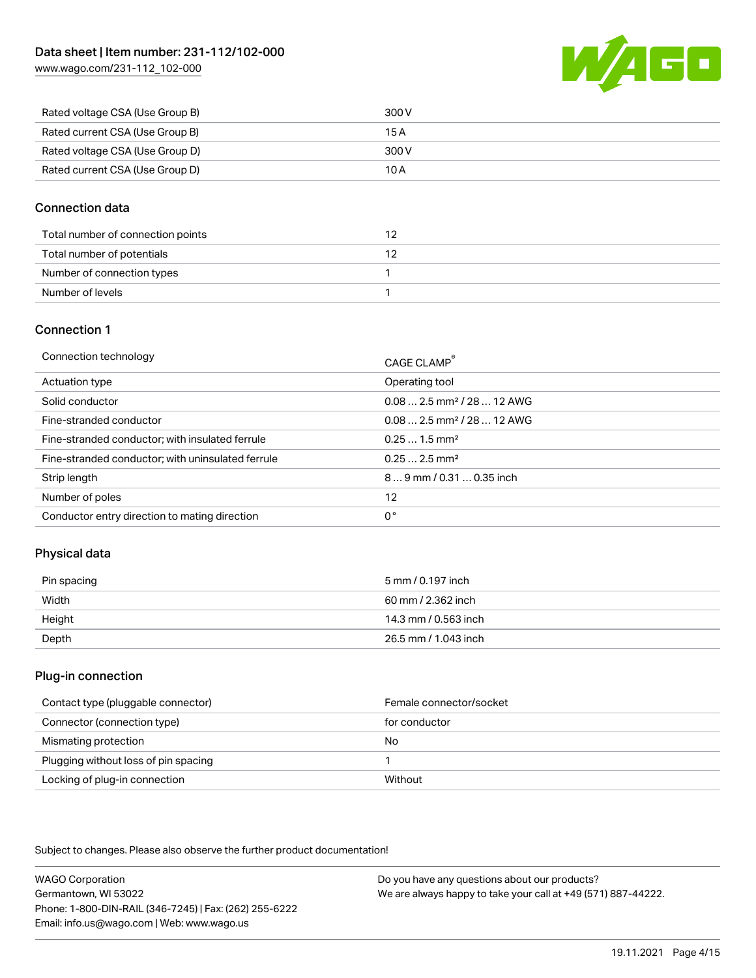

| Rated voltage CSA (Use Group B) | 300 V |
|---------------------------------|-------|
| Rated current CSA (Use Group B) | 15 A  |
| Rated voltage CSA (Use Group D) | 300 V |
| Rated current CSA (Use Group D) | 10 A  |

### Connection data

| Total number of connection points |  |
|-----------------------------------|--|
| Total number of potentials        |  |
| Number of connection types        |  |
| Number of levels                  |  |

### Connection 1

| Connection technology                             | CAGE CLAMP®                             |
|---------------------------------------------------|-----------------------------------------|
| Actuation type                                    | Operating tool                          |
| Solid conductor                                   | $0.082.5$ mm <sup>2</sup> / 28  12 AWG  |
| Fine-stranded conductor                           | $0.08$ 2.5 mm <sup>2</sup> / 28  12 AWG |
| Fine-stranded conductor; with insulated ferrule   | $0.251.5$ mm <sup>2</sup>               |
| Fine-stranded conductor; with uninsulated ferrule | $0.252.5$ mm <sup>2</sup>               |
| Strip length                                      | $89$ mm $/ 0.310.35$ inch               |
| Number of poles                                   | 12                                      |
| Conductor entry direction to mating direction     | 0°                                      |

### Physical data

| Pin spacing | 5 mm / 0.197 inch    |
|-------------|----------------------|
| Width       | 60 mm / 2.362 inch   |
| Height      | 14.3 mm / 0.563 inch |
| Depth       | 26.5 mm / 1.043 inch |

#### Plug-in connection

| Contact type (pluggable connector)   | Female connector/socket |
|--------------------------------------|-------------------------|
| Connector (connection type)          | for conductor           |
| Mismating protection                 | No                      |
| Plugging without loss of pin spacing |                         |
| Locking of plug-in connection        | Without                 |

Subject to changes. Please also observe the further product documentation!

WAGO Corporation Germantown, WI 53022 Phone: 1-800-DIN-RAIL (346-7245) | Fax: (262) 255-6222 Email: info.us@wago.com | Web: www.wago.us Do you have any questions about our products? We are always happy to take your call at +49 (571) 887-44222.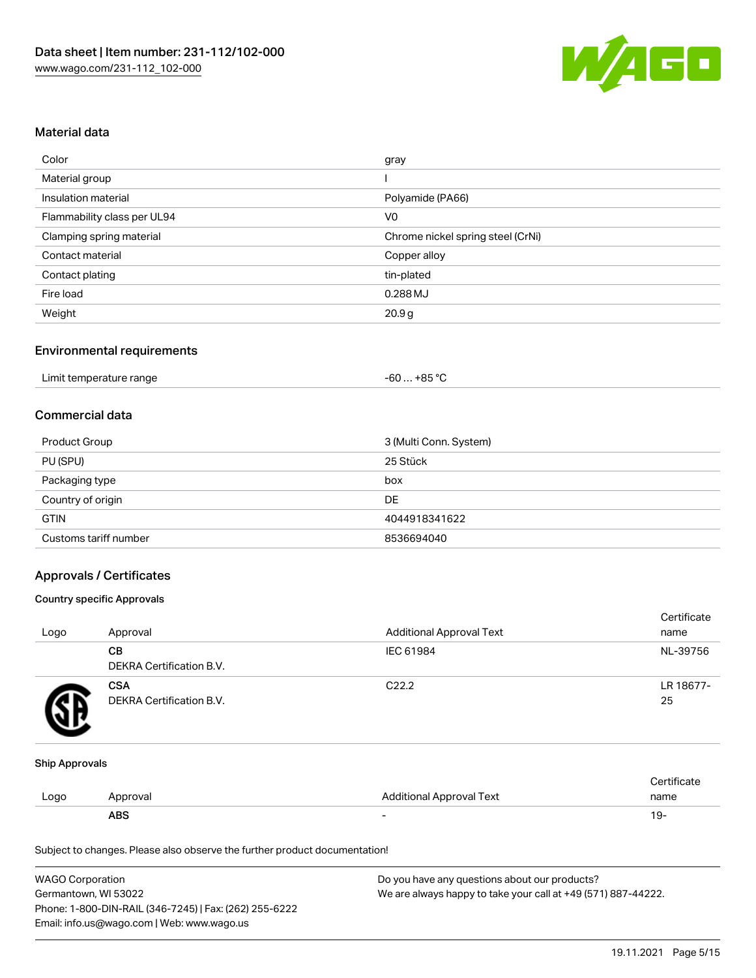

#### Material data

| Color                       | gray                              |
|-----------------------------|-----------------------------------|
| Material group              |                                   |
| Insulation material         | Polyamide (PA66)                  |
| Flammability class per UL94 | V <sub>0</sub>                    |
| Clamping spring material    | Chrome nickel spring steel (CrNi) |
| Contact material            | Copper alloy                      |
| Contact plating             | tin-plated                        |
| Fire load                   | $0.288$ MJ                        |
| Weight                      | 20.9 <sub>g</sub>                 |

### Environmental requirements

| Limit temperature range | $+85 °C$<br>-60 |  |
|-------------------------|-----------------|--|
|-------------------------|-----------------|--|

#### Commercial data

| Product Group         | 3 (Multi Conn. System) |
|-----------------------|------------------------|
| PU (SPU)              | 25 Stück               |
| Packaging type        | box                    |
| Country of origin     | DE                     |
| <b>GTIN</b>           | 4044918341622          |
| Customs tariff number | 8536694040             |

### Approvals / Certificates

#### Country specific Approvals

| Logo | Approval                               | <b>Additional Approval Text</b> | Certificate<br>name |
|------|----------------------------------------|---------------------------------|---------------------|
|      | CВ<br>DEKRA Certification B.V.         | IEC 61984                       | NL-39756            |
|      | <b>CSA</b><br>DEKRA Certification B.V. | C <sub>22.2</sub>               | LR 18677-<br>25     |

#### Ship Approvals

|      | ABS      |                          | - ك ا       |
|------|----------|--------------------------|-------------|
| Logo | Approval | Additional Approval Text | name        |
|      |          |                          | ∵ertificate |

Subject to changes. Please also observe the further product documentation!

| <b>WAGO Corporation</b>                                | Do you have any questions about our products?                 |
|--------------------------------------------------------|---------------------------------------------------------------|
| Germantown, WI 53022                                   | We are always happy to take your call at +49 (571) 887-44222. |
| Phone: 1-800-DIN-RAIL (346-7245)   Fax: (262) 255-6222 |                                                               |
| Email: info.us@wago.com   Web: www.wago.us             |                                                               |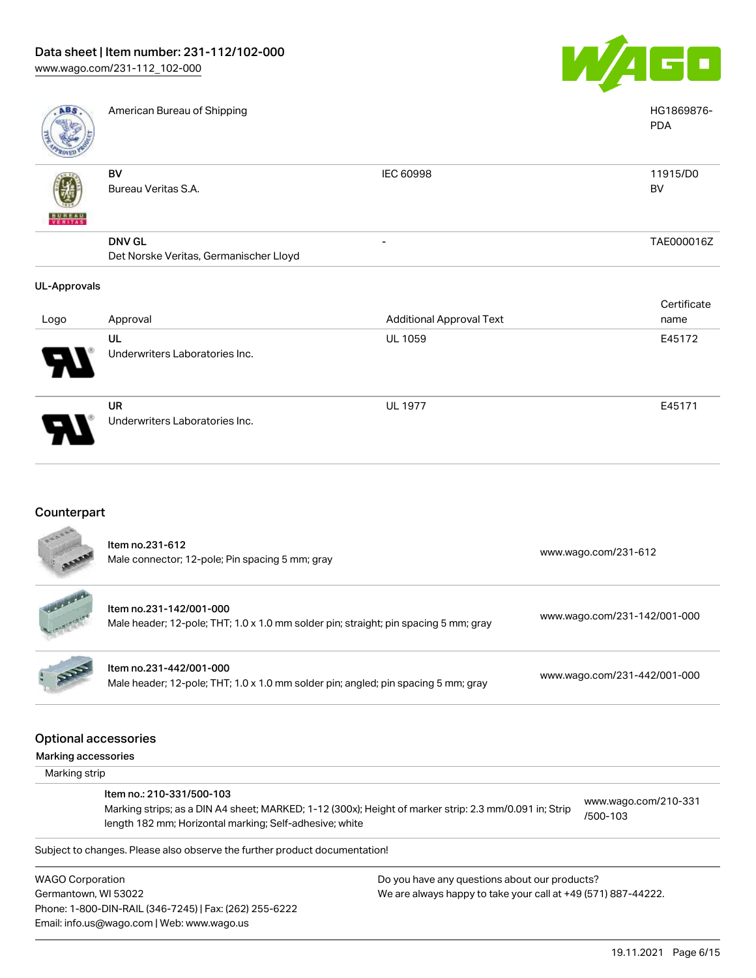

UL 1977 E45171

| ABS                 | American Bureau of Shipping                             |                                 | HG1869876-<br><b>PDA</b> |
|---------------------|---------------------------------------------------------|---------------------------------|--------------------------|
| <b>BUNEAU</b>       | BV<br>Bureau Veritas S.A.                               | IEC 60998                       | 11915/D0<br>BV           |
|                     | <b>DNV GL</b><br>Det Norske Veritas, Germanischer Lloyd |                                 | TAE000016Z               |
| <b>UL-Approvals</b> |                                                         |                                 |                          |
|                     |                                                         |                                 | Certificate              |
| Logo                | Approval                                                | <b>Additional Approval Text</b> | name                     |
|                     | UL<br>Underwriters Laboratories Inc.                    | <b>UL 1059</b>                  | E45172                   |

UR Underwriters Laboratories Inc.

Phone: 1-800-DIN-RAIL (346-7245) | Fax: (262) 255-6222

Email: info.us@wago.com | Web: www.wago.us

## Counterpart

|                                                                                                                                                                   | Item no.231-612<br>Male connector; 12-pole; Pin spacing 5 mm; gray                                              |                                               | www.wago.com/231-612             |
|-------------------------------------------------------------------------------------------------------------------------------------------------------------------|-----------------------------------------------------------------------------------------------------------------|-----------------------------------------------|----------------------------------|
|                                                                                                                                                                   | Item no.231-142/001-000<br>Male header; 12-pole; THT; 1.0 x 1.0 mm solder pin; straight; pin spacing 5 mm; gray |                                               | www.wago.com/231-142/001-000     |
|                                                                                                                                                                   | Item no.231-442/001-000<br>Male header; 12-pole; THT; 1.0 x 1.0 mm solder pin; angled; pin spacing 5 mm; gray   |                                               | www.wago.com/231-442/001-000     |
|                                                                                                                                                                   | <b>Optional accessories</b>                                                                                     |                                               |                                  |
| Marking accessories                                                                                                                                               |                                                                                                                 |                                               |                                  |
| Marking strip                                                                                                                                                     |                                                                                                                 |                                               |                                  |
|                                                                                                                                                                   | Item no.: 210-331/500-103                                                                                       |                                               |                                  |
| Marking strips; as a DIN A4 sheet; MARKED; 1-12 (300x); Height of marker strip: 2.3 mm/0.091 in; Strip<br>length 182 mm; Horizontal marking; Self-adhesive; white |                                                                                                                 |                                               | www.wago.com/210-331<br>/500-103 |
|                                                                                                                                                                   | Subject to changes. Please also observe the further product documentation!                                      |                                               |                                  |
| <b>WAGO Corporation</b>                                                                                                                                           |                                                                                                                 | Do you have any questions about our products? |                                  |
| We are always happy to take your call at +49 (571) 887-44222.<br>Germantown, WI 53022                                                                             |                                                                                                                 |                                               |                                  |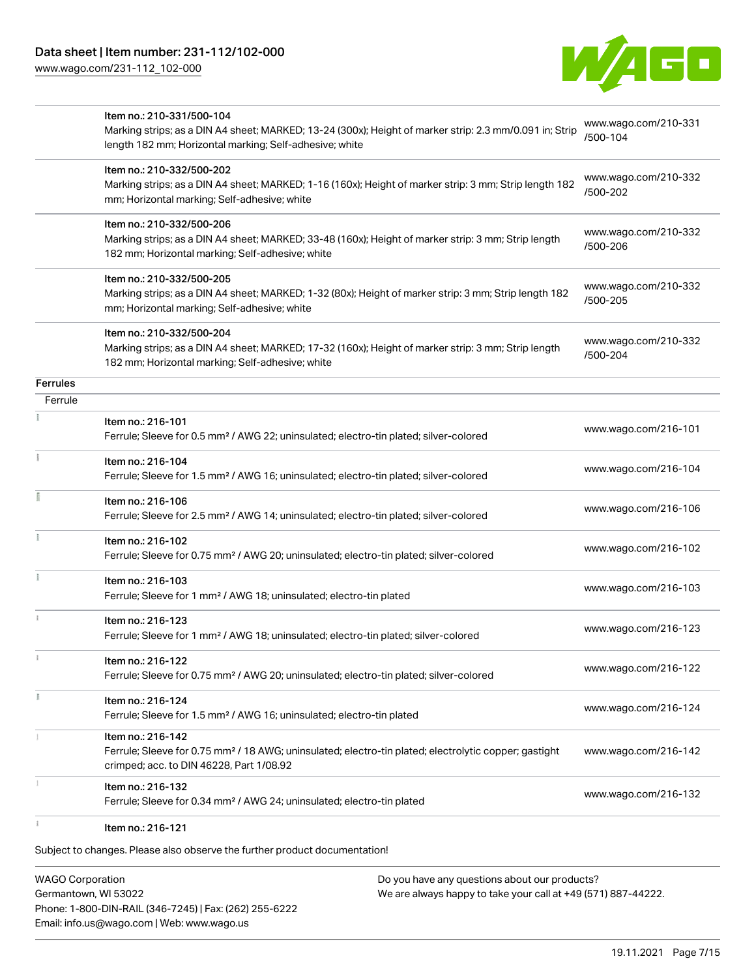

|          | Item no.: 210-331/500-104<br>Marking strips; as a DIN A4 sheet; MARKED; 13-24 (300x); Height of marker strip: 2.3 mm/0.091 in; Strip<br>length 182 mm; Horizontal marking; Self-adhesive; white | www.wago.com/210-331<br>/500-104 |
|----------|-------------------------------------------------------------------------------------------------------------------------------------------------------------------------------------------------|----------------------------------|
|          | Item no.: 210-332/500-202<br>Marking strips; as a DIN A4 sheet; MARKED; 1-16 (160x); Height of marker strip: 3 mm; Strip length 182<br>mm; Horizontal marking; Self-adhesive; white             | www.wago.com/210-332<br>/500-202 |
|          | Item no.: 210-332/500-206<br>Marking strips; as a DIN A4 sheet; MARKED; 33-48 (160x); Height of marker strip: 3 mm; Strip length<br>182 mm; Horizontal marking; Self-adhesive; white            | www.wago.com/210-332<br>/500-206 |
|          | Item no.: 210-332/500-205<br>Marking strips; as a DIN A4 sheet; MARKED; 1-32 (80x); Height of marker strip: 3 mm; Strip length 182<br>mm; Horizontal marking; Self-adhesive; white              | www.wago.com/210-332<br>/500-205 |
|          | Item no.: 210-332/500-204<br>Marking strips; as a DIN A4 sheet; MARKED; 17-32 (160x); Height of marker strip: 3 mm; Strip length<br>182 mm; Horizontal marking; Self-adhesive; white            | www.wago.com/210-332<br>/500-204 |
| Ferrules |                                                                                                                                                                                                 |                                  |
| Ferrule  |                                                                                                                                                                                                 |                                  |
|          | Item no.: 216-101<br>Ferrule; Sleeve for 0.5 mm <sup>2</sup> / AWG 22; uninsulated; electro-tin plated; silver-colored                                                                          | www.wago.com/216-101             |
|          | Item no.: 216-104<br>Ferrule; Sleeve for 1.5 mm <sup>2</sup> / AWG 16; uninsulated; electro-tin plated; silver-colored                                                                          | www.wago.com/216-104             |
|          | Item no.: 216-106<br>Ferrule; Sleeve for 2.5 mm <sup>2</sup> / AWG 14; uninsulated; electro-tin plated; silver-colored                                                                          | www.wago.com/216-106             |
|          | Item no.: 216-102<br>Ferrule; Sleeve for 0.75 mm <sup>2</sup> / AWG 20; uninsulated; electro-tin plated; silver-colored                                                                         | www.wago.com/216-102             |
|          | Item no.: 216-103<br>Ferrule; Sleeve for 1 mm <sup>2</sup> / AWG 18; uninsulated; electro-tin plated                                                                                            | www.wago.com/216-103             |
|          | Item no.: 216-123<br>Ferrule; Sleeve for 1 mm <sup>2</sup> / AWG 18; uninsulated; electro-tin plated; silver-colored                                                                            | www.wago.com/216-123             |
|          | Item no.: 216-122<br>Ferrule; Sleeve for 0.75 mm <sup>2</sup> / AWG 20; uninsulated; electro-tin plated; silver-colored                                                                         | www.wago.com/216-122             |
| I.       | Item no.: 216-124<br>Ferrule; Sleeve for 1.5 mm <sup>2</sup> / AWG 16; uninsulated; electro-tin plated                                                                                          | www.wago.com/216-124             |
|          | Item no.: 216-142<br>Ferrule; Sleeve for 0.75 mm <sup>2</sup> / 18 AWG; uninsulated; electro-tin plated; electrolytic copper; gastight<br>crimped; acc. to DIN 46228, Part 1/08.92              | www.wago.com/216-142             |
|          | Item no.: 216-132<br>Ferrule; Sleeve for 0.34 mm <sup>2</sup> / AWG 24; uninsulated; electro-tin plated                                                                                         | www.wago.com/216-132             |
|          | Item no.: 216-121                                                                                                                                                                               |                                  |

Subject to changes. Please also observe the further product documentation!

WAGO Corporation Germantown, WI 53022 Phone: 1-800-DIN-RAIL (346-7245) | Fax: (262) 255-6222 Email: info.us@wago.com | Web: www.wago.us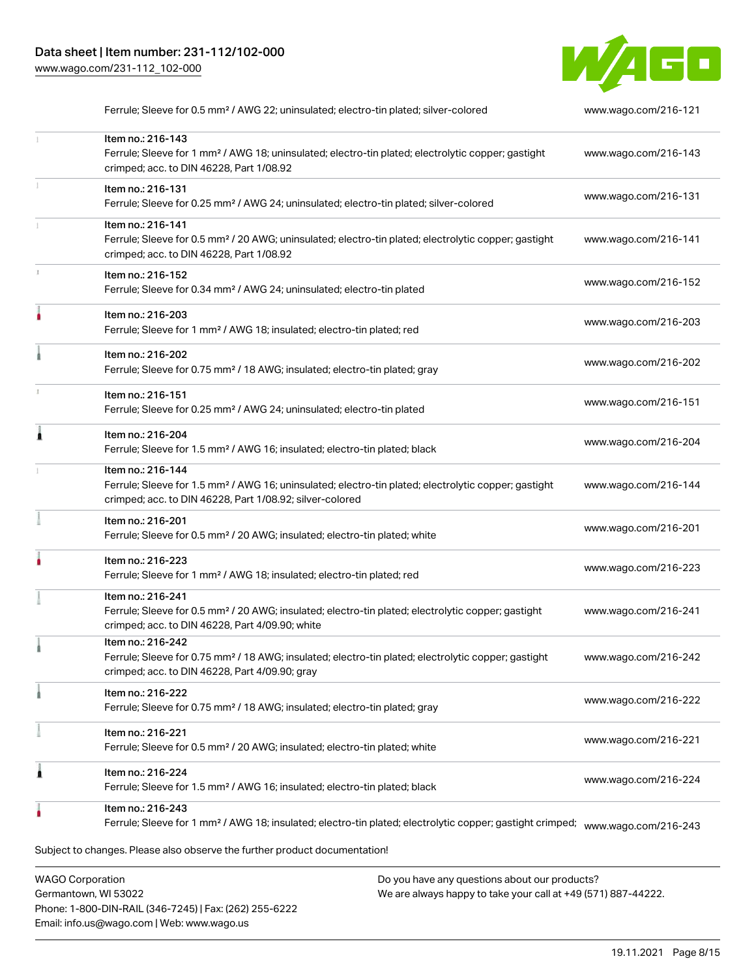

|   | Ferrule; Sleeve for 0.5 mm <sup>2</sup> / AWG 22; uninsulated; electro-tin plated; silver-colored                                                                                                 | www.wago.com/216-121 |
|---|---------------------------------------------------------------------------------------------------------------------------------------------------------------------------------------------------|----------------------|
|   | Item no.: 216-143<br>Ferrule; Sleeve for 1 mm <sup>2</sup> / AWG 18; uninsulated; electro-tin plated; electrolytic copper; gastight<br>crimped; acc. to DIN 46228, Part 1/08.92                   | www.wago.com/216-143 |
|   | Item no.: 216-131<br>Ferrule; Sleeve for 0.25 mm <sup>2</sup> / AWG 24; uninsulated; electro-tin plated; silver-colored                                                                           | www.wago.com/216-131 |
|   | Item no.: 216-141<br>Ferrule; Sleeve for 0.5 mm <sup>2</sup> / 20 AWG; uninsulated; electro-tin plated; electrolytic copper; gastight<br>crimped; acc. to DIN 46228, Part 1/08.92                 | www.wago.com/216-141 |
|   | Item no.: 216-152<br>Ferrule; Sleeve for 0.34 mm <sup>2</sup> / AWG 24; uninsulated; electro-tin plated                                                                                           | www.wago.com/216-152 |
|   | Item no.: 216-203<br>Ferrule; Sleeve for 1 mm <sup>2</sup> / AWG 18; insulated; electro-tin plated; red                                                                                           | www.wago.com/216-203 |
|   | Item no.: 216-202<br>Ferrule; Sleeve for 0.75 mm <sup>2</sup> / 18 AWG; insulated; electro-tin plated; gray                                                                                       | www.wago.com/216-202 |
|   | Item no.: 216-151<br>Ferrule; Sleeve for 0.25 mm <sup>2</sup> / AWG 24; uninsulated; electro-tin plated                                                                                           | www.wago.com/216-151 |
|   | Item no.: 216-204<br>Ferrule; Sleeve for 1.5 mm <sup>2</sup> / AWG 16; insulated; electro-tin plated; black                                                                                       | www.wago.com/216-204 |
|   | Item no.: 216-144<br>Ferrule; Sleeve for 1.5 mm <sup>2</sup> / AWG 16; uninsulated; electro-tin plated; electrolytic copper; gastight<br>crimped; acc. to DIN 46228, Part 1/08.92; silver-colored | www.wago.com/216-144 |
|   | Item no.: 216-201<br>Ferrule; Sleeve for 0.5 mm <sup>2</sup> / 20 AWG; insulated; electro-tin plated; white                                                                                       | www.wago.com/216-201 |
|   | Item no.: 216-223<br>Ferrule; Sleeve for 1 mm <sup>2</sup> / AWG 18; insulated; electro-tin plated; red                                                                                           | www.wago.com/216-223 |
|   | Item no.: 216-241<br>Ferrule; Sleeve for 0.5 mm <sup>2</sup> / 20 AWG; insulated; electro-tin plated; electrolytic copper; gastight<br>crimped; acc. to DIN 46228, Part 4/09.90; white            | www.wago.com/216-241 |
|   | Item no.: 216-242<br>Ferrule; Sleeve for 0.75 mm <sup>2</sup> / 18 AWG; insulated; electro-tin plated; electrolytic copper; gastight<br>crimped; acc. to DIN 46228, Part 4/09.90; gray            | www.wago.com/216-242 |
|   | Item no.: 216-222<br>Ferrule; Sleeve for 0.75 mm <sup>2</sup> / 18 AWG; insulated; electro-tin plated; gray                                                                                       | www.wago.com/216-222 |
|   | Item no.: 216-221<br>Ferrule; Sleeve for 0.5 mm <sup>2</sup> / 20 AWG; insulated; electro-tin plated; white                                                                                       | www.wago.com/216-221 |
| 1 | Item no.: 216-224<br>Ferrule; Sleeve for 1.5 mm <sup>2</sup> / AWG 16; insulated; electro-tin plated; black                                                                                       | www.wago.com/216-224 |
|   | Item no.: 216-243<br>Ferrule; Sleeve for 1 mm <sup>2</sup> / AWG 18; insulated; electro-tin plated; electrolytic copper; gastight crimped;                                                        | www.wago.com/216-243 |
|   | Subject to changes. Please also observe the further product documentation!                                                                                                                        |                      |

WAGO Corporation Germantown, WI 53022 Phone: 1-800-DIN-RAIL (346-7245) | Fax: (262) 255-6222 Email: info.us@wago.com | Web: www.wago.us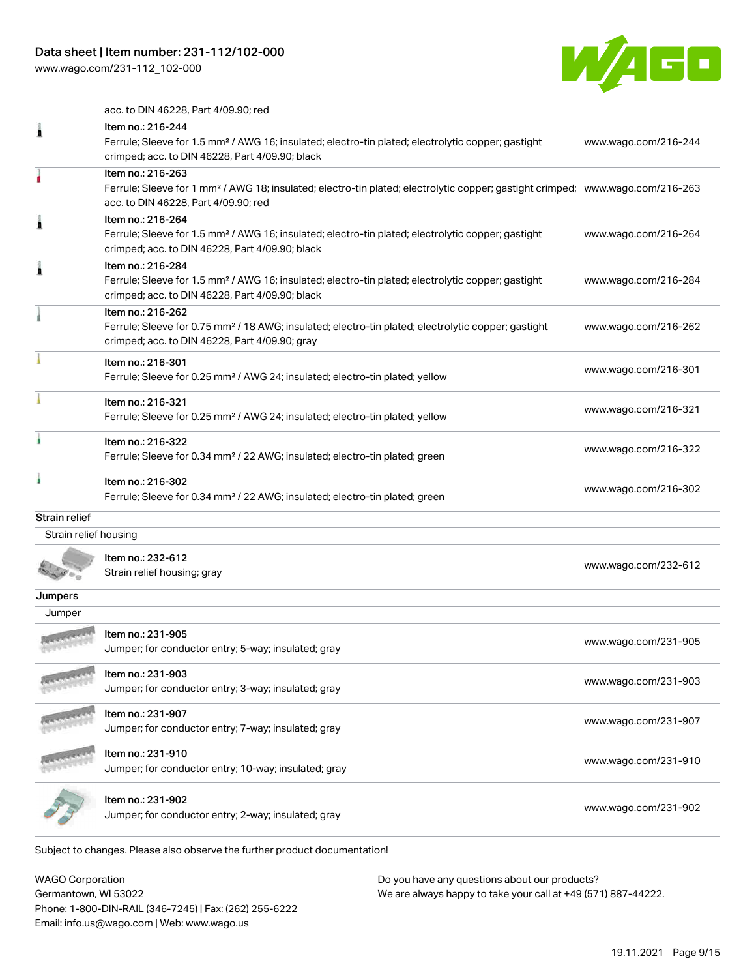

acc. to DIN 46228, Part 4/09.90; red

|                       | Item no.: 216-244<br>Ferrule; Sleeve for 1.5 mm <sup>2</sup> / AWG 16; insulated; electro-tin plated; electrolytic copper; gastight<br>crimped; acc. to DIN 46228, Part 4/09.90; black                  | www.wago.com/216-244 |
|-----------------------|---------------------------------------------------------------------------------------------------------------------------------------------------------------------------------------------------------|----------------------|
|                       | Item no.: 216-263<br>Ferrule; Sleeve for 1 mm <sup>2</sup> / AWG 18; insulated; electro-tin plated; electrolytic copper; gastight crimped; www.wago.com/216-263<br>acc. to DIN 46228, Part 4/09.90; red |                      |
|                       | Item no.: 216-264<br>Ferrule; Sleeve for 1.5 mm <sup>2</sup> / AWG 16; insulated; electro-tin plated; electrolytic copper; gastight<br>crimped; acc. to DIN 46228, Part 4/09.90; black                  | www.wago.com/216-264 |
|                       | Item no.: 216-284<br>Ferrule; Sleeve for 1.5 mm <sup>2</sup> / AWG 16; insulated; electro-tin plated; electrolytic copper; gastight<br>crimped; acc. to DIN 46228, Part 4/09.90; black                  | www.wago.com/216-284 |
|                       | Item no.: 216-262<br>Ferrule; Sleeve for 0.75 mm <sup>2</sup> / 18 AWG; insulated; electro-tin plated; electrolytic copper; gastight<br>crimped; acc. to DIN 46228, Part 4/09.90; gray                  | www.wago.com/216-262 |
|                       | Item no.: 216-301<br>Ferrule; Sleeve for 0.25 mm <sup>2</sup> / AWG 24; insulated; electro-tin plated; yellow                                                                                           | www.wago.com/216-301 |
|                       | Item no.: 216-321<br>Ferrule; Sleeve for 0.25 mm <sup>2</sup> / AWG 24; insulated; electro-tin plated; yellow                                                                                           | www.wago.com/216-321 |
|                       | Item no.: 216-322<br>Ferrule; Sleeve for 0.34 mm <sup>2</sup> / 22 AWG; insulated; electro-tin plated; green                                                                                            | www.wago.com/216-322 |
|                       | Item no.: 216-302<br>Ferrule; Sleeve for 0.34 mm <sup>2</sup> / 22 AWG; insulated; electro-tin plated; green                                                                                            | www.wago.com/216-302 |
| <b>Strain relief</b>  |                                                                                                                                                                                                         |                      |
| Strain relief housing |                                                                                                                                                                                                         |                      |
|                       | Item no.: 232-612<br>Strain relief housing; gray                                                                                                                                                        | www.wago.com/232-612 |
| Jumpers               |                                                                                                                                                                                                         |                      |
| Jumper                |                                                                                                                                                                                                         |                      |
|                       | Item no.: 231-905<br>Jumper; for conductor entry; 5-way; insulated; gray                                                                                                                                | www.wago.com/231-905 |
|                       | Item no.: 231-903<br>Jumper; for conductor entry; 3-way; insulated; gray                                                                                                                                | www.wago.com/231-903 |
|                       | Item no.: 231-907<br>Jumper; for conductor entry; 7-way; insulated; gray                                                                                                                                | www.wago.com/231-907 |
|                       | Item no.: 231-910<br>Jumper; for conductor entry; 10-way; insulated; gray                                                                                                                               | www.wago.com/231-910 |
|                       | Item no.: 231-902<br>Jumper; for conductor entry; 2-way; insulated; gray                                                                                                                                | www.wago.com/231-902 |
|                       | Subject to changes. Please also observe the further product documentation!                                                                                                                              |                      |

WAGO Corporation Germantown, WI 53022 Phone: 1-800-DIN-RAIL (346-7245) | Fax: (262) 255-6222 Email: info.us@wago.com | Web: www.wago.us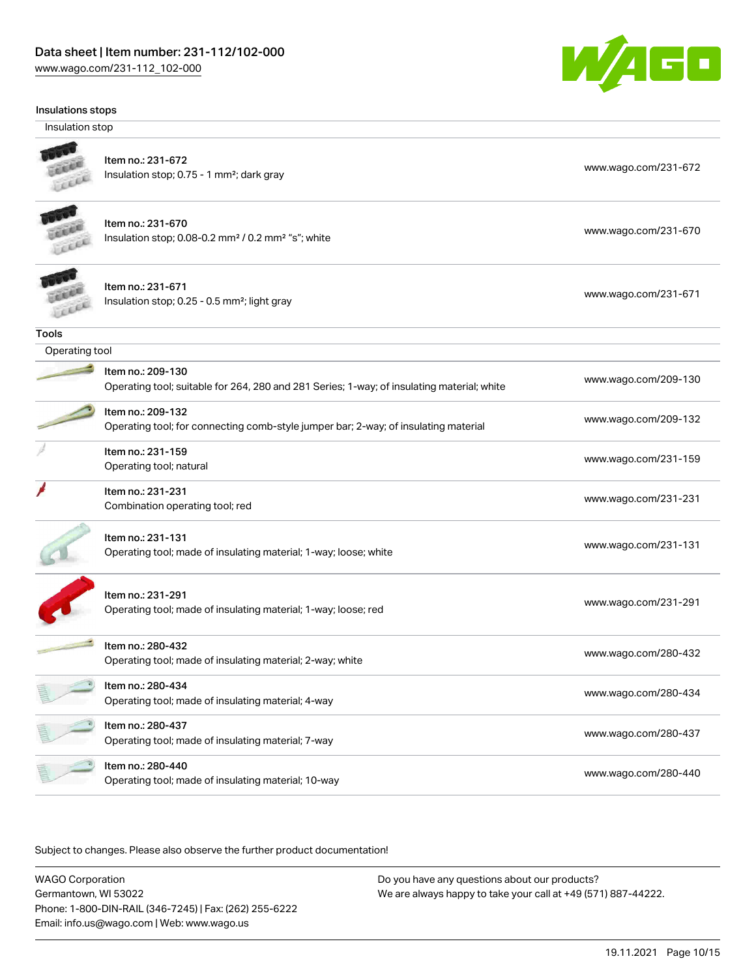

| Insulations stops |  |
|-------------------|--|
|-------------------|--|

Insulation stop



## Item no.: 231-672

Insulation stop; 0.75 - 1 mm<sup>2</sup>; dark gray [www.wago.com/231-672](http://www.wago.com/231-672) www.wago.com/231-672



#### Item no.: 231-670

Item no.: 209-130

Item no.: 209-132

Item no.: 231-159

Item no.: 231-231

Insulation stop; 0.08-0.2 mm<sup>2</sup> / 0.2 mm<sup>2</sup> "s"; white [www.wago.com/231-670](http://www.wago.com/231-670) www.wago.com/231-670



Operating tool

**Tools** 

Item no.: 231-671 Insulation stop; 0.25 - 0.5 mm²; light gray [www.wago.com/231-671](http://www.wago.com/231-671)

| ו וסי                         |  |
|-------------------------------|--|
| p; 0.25 - 0.5 mm²; light gray |  |

| www.wago.or |
|-------------|
|             |
|             |
|             |
|             |

| TUBITI NO., 209-T30                                                                        |                      |
|--------------------------------------------------------------------------------------------|----------------------|
| Operating tool; suitable for 264, 280 and 281 Series; 1-way; of insulating material; white | www.wago.com/209-130 |

| Item no.: 209-132                                                                   | www.wago.com/209-132 |
|-------------------------------------------------------------------------------------|----------------------|
| Operating tool; for connecting comb-style jumper bar; 2-way; of insulating material |                      |

Next tool; natural [www.wago.com/231-159](http://www.wago.com/231-159)<br>Operating tool; natural

| Item no.: 231-231               |                      |
|---------------------------------|----------------------|
| Combination operating tool; red | www.wago.com/231-231 |

| ltem no.: 231-131                                                | www.wago.com/231-131 |
|------------------------------------------------------------------|----------------------|
| Operating tool; made of insulating material; 1-way; loose; white |                      |

| ltem no.: 231-291                                              |                      |
|----------------------------------------------------------------|----------------------|
| Operating tool: made of insulating material: 1-way: loose: red | www.wago.com/231-291 |

|   | Item no.: 280-432<br>Operating tool; made of insulating material; 2-way; white | www.wago.com/280-432 |
|---|--------------------------------------------------------------------------------|----------------------|
|   | Item no.: 280-434<br>Operating tool; made of insulating material; 4-way        | www.wago.com/280-434 |
| 림 | Item no.: 280-437<br>Operating tool; made of insulating material; 7-way        | www.wago.com/280-437 |
|   | Item no.: 280-440<br>Operating tool; made of insulating material; 10-way       | www.wago.com/280-440 |

Subject to changes. Please also observe the further product documentation!

WAGO Corporation Germantown, WI 53022 Phone: 1-800-DIN-RAIL (346-7245) | Fax: (262) 255-6222 Email: info.us@wago.com | Web: www.wago.us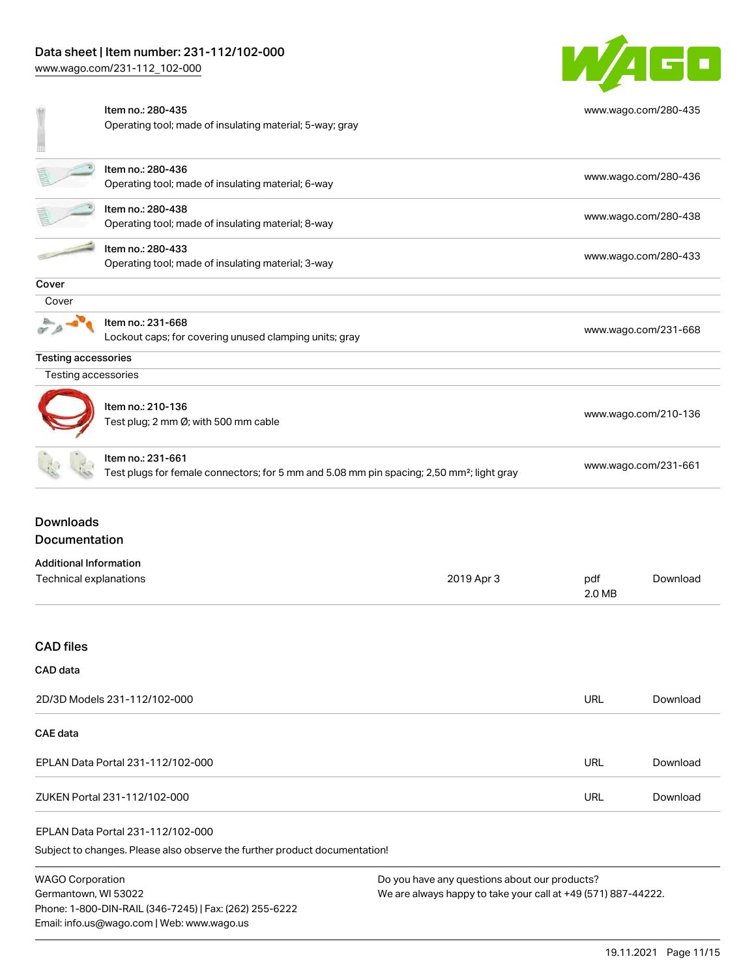

|                               | Item no.: 280-435                                                                                     |            |            | www.wago.com/280-435 |  |
|-------------------------------|-------------------------------------------------------------------------------------------------------|------------|------------|----------------------|--|
|                               | Operating tool; made of insulating material; 5-way; gray                                              |            |            |                      |  |
|                               |                                                                                                       |            |            |                      |  |
|                               |                                                                                                       |            |            |                      |  |
|                               | Item no.: 280-436                                                                                     |            |            | www.wago.com/280-436 |  |
|                               | Operating tool; made of insulating material; 6-way                                                    |            |            |                      |  |
|                               | Item no.: 280-438                                                                                     |            |            |                      |  |
|                               | Operating tool; made of insulating material; 8-way                                                    |            |            | www.wago.com/280-438 |  |
|                               | Item no.: 280-433                                                                                     |            |            |                      |  |
|                               | Operating tool; made of insulating material; 3-way                                                    |            |            | www.wago.com/280-433 |  |
|                               |                                                                                                       |            |            |                      |  |
| Cover                         |                                                                                                       |            |            |                      |  |
| Cover                         |                                                                                                       |            |            |                      |  |
|                               | Item no.: 231-668                                                                                     |            |            | www.wago.com/231-668 |  |
|                               | Lockout caps; for covering unused clamping units; gray                                                |            |            |                      |  |
| Testing accessories           |                                                                                                       |            |            |                      |  |
| Testing accessories           |                                                                                                       |            |            |                      |  |
|                               |                                                                                                       |            |            |                      |  |
|                               | Item no.: 210-136                                                                                     |            |            | www.wago.com/210-136 |  |
|                               | Test plug; 2 mm Ø; with 500 mm cable                                                                  |            |            |                      |  |
|                               |                                                                                                       |            |            |                      |  |
|                               | Item no.: 231-661                                                                                     |            |            |                      |  |
|                               | Test plugs for female connectors; for 5 mm and 5.08 mm pin spacing; 2,50 mm <sup>2</sup> ; light gray |            |            | www.wago.com/231-661 |  |
|                               |                                                                                                       |            |            |                      |  |
|                               |                                                                                                       |            |            |                      |  |
| <b>Downloads</b>              |                                                                                                       |            |            |                      |  |
| Documentation                 |                                                                                                       |            |            |                      |  |
| <b>Additional Information</b> |                                                                                                       |            |            |                      |  |
| Technical explanations        |                                                                                                       | 2019 Apr 3 | pdf        | Download             |  |
|                               |                                                                                                       |            | 2.0 MB     |                      |  |
|                               |                                                                                                       |            |            |                      |  |
|                               |                                                                                                       |            |            |                      |  |
| <b>CAD</b> files              |                                                                                                       |            |            |                      |  |
| CAD data                      |                                                                                                       |            |            |                      |  |
|                               |                                                                                                       |            |            |                      |  |
|                               | 2D/3D Models 231-112/102-000                                                                          |            | <b>URL</b> | Download             |  |

| CAE data                          |     |          |
|-----------------------------------|-----|----------|
| EPLAN Data Portal 231-112/102-000 | URL | Download |
| ZUKEN Portal 231-112/102-000      | URL | Download |

#### EPLAN Data Portal 231-112/102-000

Subject to changes. Please also observe the further product documentation!

WAGO Corporation Germantown, WI 53022 Phone: 1-800-DIN-RAIL (346-7245) | Fax: (262) 255-6222 Email: info.us@wago.com | Web: www.wago.us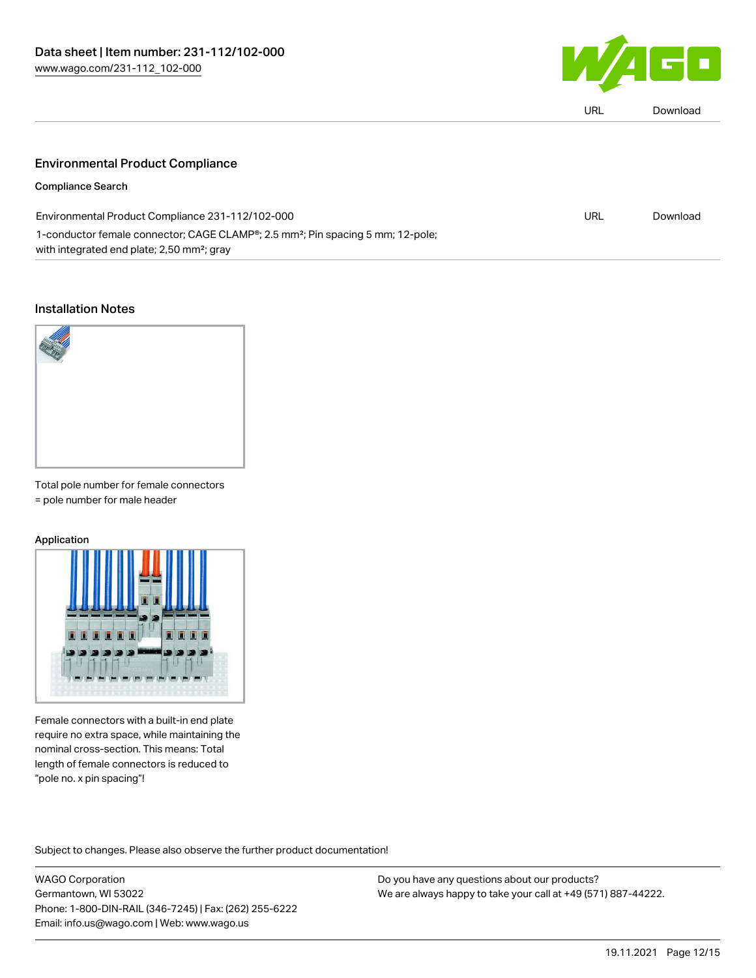

| LIRI | Download |
|------|----------|
|      |          |

### Environmental Product Compliance

#### Compliance Search

| Environmental Product Compliance 231-112/102-000                                                         | URL | Download |
|----------------------------------------------------------------------------------------------------------|-----|----------|
| 1-conductor female connector; CAGE CLAMP <sup>®</sup> ; 2.5 mm <sup>2</sup> ; Pin spacing 5 mm; 12-pole; |     |          |
| with integrated end plate; 2,50 mm <sup>2</sup> ; gray                                                   |     |          |

#### Installation Notes



Total pole number for female connectors = pole number for male header

#### Application



Female connectors with a built-in end plate require no extra space, while maintaining the nominal cross-section. This means: Total length of female connectors is reduced to "pole no. x pin spacing"!

Subject to changes. Please also observe the further product documentation!

WAGO Corporation Germantown, WI 53022 Phone: 1-800-DIN-RAIL (346-7245) | Fax: (262) 255-6222 Email: info.us@wago.com | Web: www.wago.us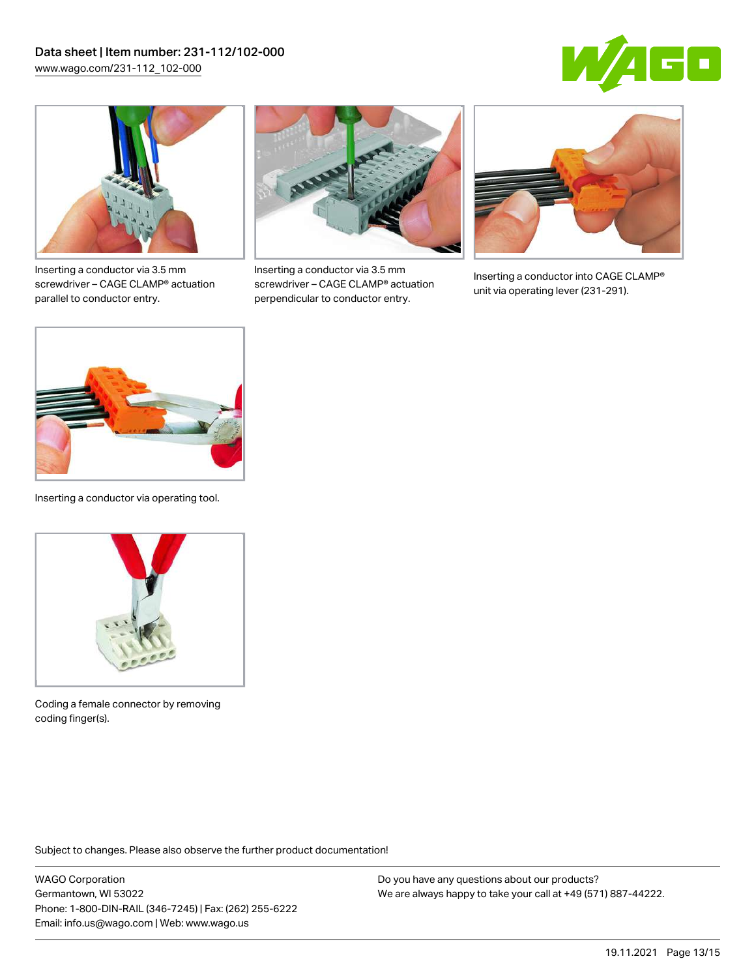



Inserting a conductor via 3.5 mm screwdriver – CAGE CLAMP® actuation parallel to conductor entry.



Inserting a conductor via 3.5 mm screwdriver – CAGE CLAMP® actuation perpendicular to conductor entry.



Inserting a conductor into CAGE CLAMP® unit via operating lever (231-291).



Inserting a conductor via operating tool.



Coding a female connector by removing coding finger(s).

Subject to changes. Please also observe the further product documentation!

WAGO Corporation Germantown, WI 53022 Phone: 1-800-DIN-RAIL (346-7245) | Fax: (262) 255-6222 Email: info.us@wago.com | Web: www.wago.us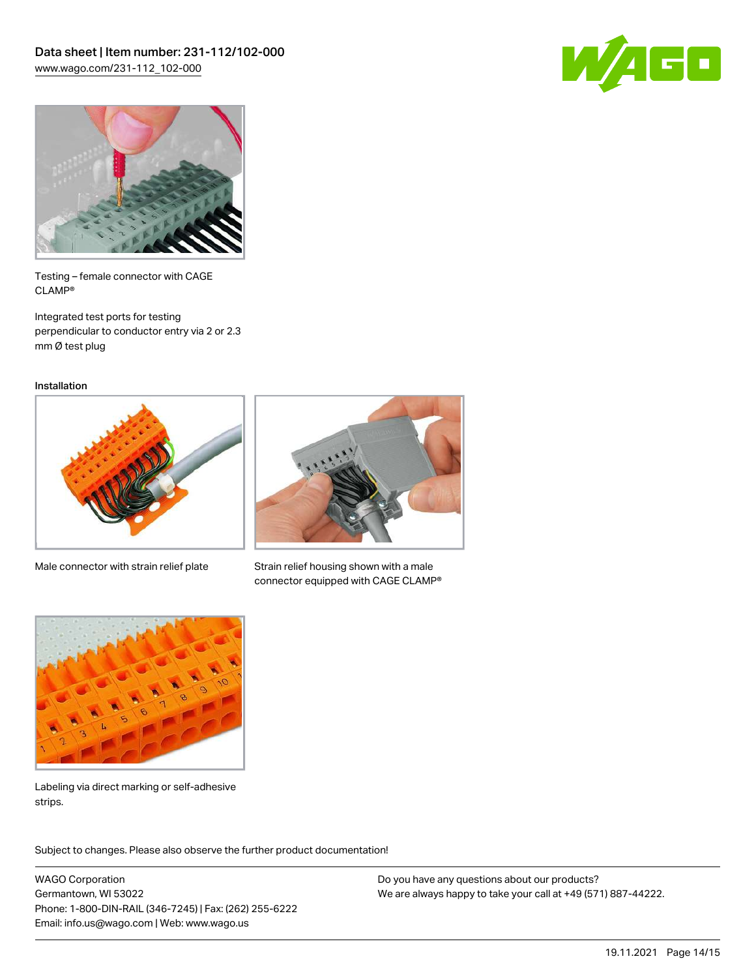



Testing – female connector with CAGE CLAMP®

Integrated test ports for testing perpendicular to conductor entry via 2 or 2.3 mm Ø test plug

Installation



Male connector with strain relief plate



Strain relief housing shown with a male connector equipped with CAGE CLAMP®



Labeling via direct marking or self-adhesive strips.

Subject to changes. Please also observe the further product documentation! Product family

WAGO Corporation Germantown, WI 53022 Phone: 1-800-DIN-RAIL (346-7245) | Fax: (262) 255-6222 Email: info.us@wago.com | Web: www.wago.us